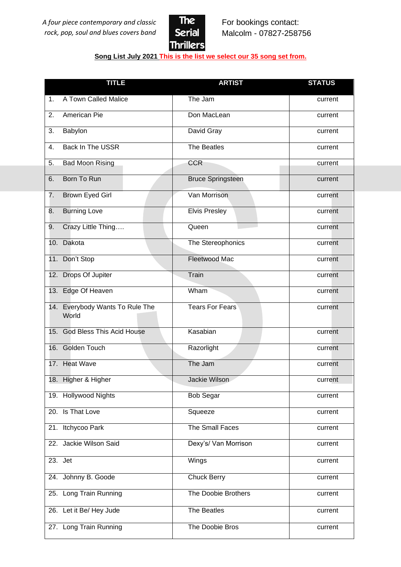

## **Song List July 2021 This is the list we select our 35 song set from.**

| <b>TITLE</b>                                | <b>ARTIST</b>            | <b>STATUS</b> |
|---------------------------------------------|--------------------------|---------------|
| A Town Called Malice<br>1 <sub>1</sub>      | The Jam                  | current       |
| 2.<br>American Pie                          | Don MacLean              | current       |
| Babylon<br>3.                               | David Gray               | current       |
| Back In The USSR<br>4.                      | The Beatles              | current       |
| 5.<br><b>Bad Moon Rising</b>                | <b>CCR</b>               | current       |
| Born To Run<br>6.                           | <b>Bruce Springsteen</b> | current       |
| 7.<br>Brown Eyed Girl                       | Van Morrison             | current       |
| <b>Burning Love</b><br>8.                   | <b>Elvis Presley</b>     | current       |
| Crazy Little Thing<br>9.                    | Queen                    | current       |
| Dakota<br>10.                               | The Stereophonics        | current       |
| 11. Don't Stop                              | Fleetwood Mac            | current       |
| Drops Of Jupiter<br>12.                     | Train                    | current       |
| 13. Edge Of Heaven                          | Wham                     | current       |
| Everybody Wants To Rule The<br>14.<br>World | <b>Tears For Fears</b>   | current       |
| <b>God Bless This Acid House</b><br>15.     | Kasabian                 | current       |
| 16. Golden Touch                            | Razorlight               | current       |
| 17. Heat Wave                               | The Jam                  | current       |
| 18. Higher & Higher                         | Jackie Wilson            | current       |
| 19. Hollywood Nights                        | <b>Bob Segar</b>         | current       |
| 20. Is That Love                            | Squeeze                  | current       |
| 21. Itchycoo Park                           | The Small Faces          | current       |
| 22. Jackie Wilson Said                      | Dexy's/ Van Morrison     | current       |
| 23. Jet                                     | Wings                    | current       |
| 24. Johnny B. Goode                         | <b>Chuck Berry</b>       | current       |
| 25. Long Train Running                      | The Doobie Brothers      | current       |
| 26. Let it Be/ Hey Jude                     | The Beatles              | current       |
| 27. Long Train Running                      | The Doobie Bros          | current       |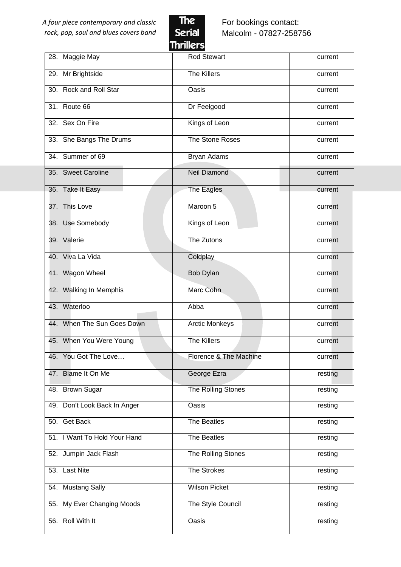

For bookings contact: Malcolm - 07827-258756

|                              | пш шегэ                |         |
|------------------------------|------------------------|---------|
| 28. Maggie May               | <b>Rod Stewart</b>     | current |
| 29. Mr Brightside            | The Killers            | current |
| 30. Rock and Roll Star       | Oasis                  | current |
| 31. Route 66                 | Dr Feelgood            | current |
| 32. Sex On Fire              | Kings of Leon          | current |
| 33. She Bangs The Drums      | The Stone Roses        | current |
| 34. Summer of 69             | Bryan Adams            | current |
| 35. Sweet Caroline           | <b>Neil Diamond</b>    | current |
| 36. Take It Easy             | The Eagles             | current |
| 37. This Love                | Maroon 5               | current |
| 38. Use Somebody             | Kings of Leon          | current |
| 39. Valerie                  | The Zutons             | current |
| 40. Viva La Vida             | Coldplay               | current |
| 41. Wagon Wheel              | Bob Dylan              | current |
| 42. Walking In Memphis       | Marc Cohn              | current |
| 43. Waterloo                 | Abba                   | current |
| 44. When The Sun Goes Down   | <b>Arctic Monkeys</b>  | current |
| 45. When You Were Young      | <b>The Killers</b>     | current |
| 46. You Got The Love         | Florence & The Machine | current |
| 47. Blame It On Me           | George Ezra            | resting |
| 48. Brown Sugar              | The Rolling Stones     | resting |
| 49. Don't Look Back In Anger | Oasis                  | resting |
| 50. Get Back                 | The Beatles            | resting |
| 51. I Want To Hold Your Hand | The Beatles            | resting |
| 52. Jumpin Jack Flash        | The Rolling Stones     | resting |
| 53. Last Nite                | The Strokes            | resting |
| 54. Mustang Sally            | <b>Wilson Picket</b>   | resting |
| 55. My Ever Changing Moods   | The Style Council      | resting |
| 56. Roll With It             | Oasis                  | resting |
|                              |                        |         |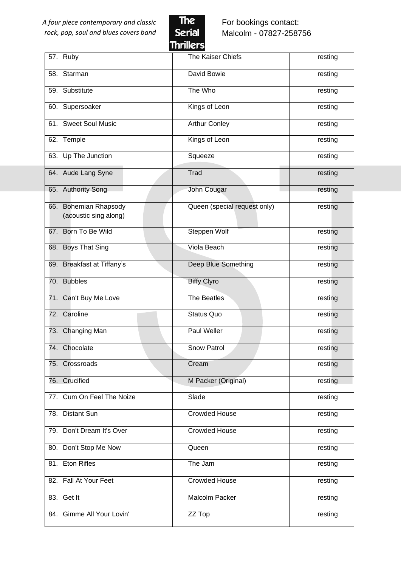

For bookings contact: Malcolm - 07827-258756

|                                                | пишего                       |         |
|------------------------------------------------|------------------------------|---------|
| 57. Ruby                                       | The Kaiser Chiefs            | resting |
| 58. Starman                                    | David Bowie                  | resting |
| 59. Substitute                                 | The Who                      | resting |
| 60. Supersoaker                                | Kings of Leon                | resting |
| 61. Sweet Soul Music                           | <b>Arthur Conley</b>         | resting |
| 62. Temple                                     | Kings of Leon                | resting |
| 63. Up The Junction                            | Squeeze                      | resting |
| 64. Aude Lang Syne                             | <b>Trad</b>                  | resting |
| 65. Authority Song                             | John Cougar                  | resting |
| 66. Bohemian Rhapsody<br>(acoustic sing along) | Queen (special request only) | resting |
| 67. Born To Be Wild                            | Steppen Wolf                 | resting |
| 68. Boys That Sing                             | Viola Beach                  | resting |
| 69. Breakfast at Tiffany's                     | Deep Blue Something          | resting |
| 70. Bubbles                                    | <b>Biffy Clyro</b>           | resting |
| 71. Can't Buy Me Love                          | The Beatles                  | resting |
| 72. Caroline                                   | <b>Status Quo</b>            | resting |
| 73. Changing Man                               | Paul Weller                  | resting |
| 74. Chocolate                                  | <b>Snow Patrol</b>           | resting |
| 75. Crossroads                                 | Cream                        | resting |
| 76. Crucified                                  | M Packer (Original)          | resting |
| 77. Cum On Feel The Noize                      | Slade                        | resting |
| 78. Distant Sun                                | <b>Crowded House</b>         | resting |
| 79. Don't Dream It's Over                      | <b>Crowded House</b>         | resting |
| 80. Don't Stop Me Now                          | Queen                        | resting |
| 81. Eton Rifles                                | The Jam                      | resting |
| 82. Fall At Your Feet                          | <b>Crowded House</b>         | resting |
| 83. Get It                                     | Malcolm Packer               | resting |
| 84. Gimme All Your Lovin'                      | ZZ Top                       | resting |